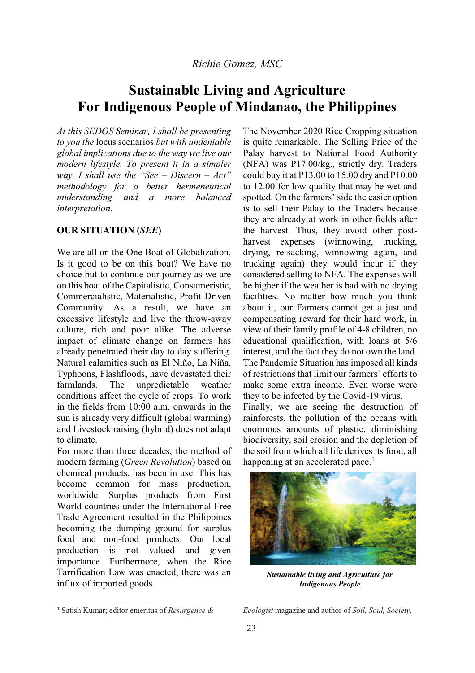# **Sustainable Living and Agriculture For Indigenous People of Mindanao, the Philippines**

*At this SEDOS Seminar, I shall be presenting to you the* locus scenarios *but with undeniable global implications due to the way we live our modern lifestyle. To present it in a simpler way*, *I shall use the "See – Discern – Act*" *methodology for a better hermeneutical understanding and a more balanced interpretation*.

# **OUR SITUATION (***SEE***)**

We are all on the One Boat of Globalization. Is it good to be on this boat? We have no choice but to continue our journey as we are on this boat of the Capitalistic, Consumeristic, Commercialistic, Materialistic, Profit-Driven Community. As a result, we have an excessive lifestyle and live the throw-away culture, rich and poor alike. The adverse impact of climate change on farmers has already penetrated their day to day suffering. Natural calamities such as El Niño, La Niña, Typhoons, Flashfloods, have devastated their farmlands. The unpredictable weather conditions affect the cycle of crops. To work in the fields from 10:00 a.m. onwards in the sun is already very difficult (global warming) and Livestock raising (hybrid) does not adapt to climate.

For more than three decades, the method of modern farming (*Green Revolution*) based on chemical products, has been in use. This has become common for mass production, worldwide. Surplus products from First World countries under the International Free Trade Agreement resulted in the Philippines becoming the dumping ground for surplus food and non-food products. Our local production is not valued and given importance. Furthermore, when the Rice Tarrification Law was enacted, there was an influx of imported goods.

The November 2020 Rice Cropping situation is quite remarkable. The Selling Price of the Palay harvest to National Food Authority (NFA) was P17.00/kg., strictly dry. Traders could buy it at P13.00 to 15.00 dry and P10.00 to 12.00 for low quality that may be wet and spotted. On the farmers' side the easier option is to sell their Palay to the Traders because they are already at work in other fields after the harvest. Thus, they avoid other postharvest expenses (winnowing, trucking, drying, re-sacking, winnowing again, and trucking again) they would incur if they considered selling to NFA. The expenses will be higher if the weather is bad with no drying facilities. No matter how much you think about it, our Farmers cannot get a just and compensating reward for their hard work, in view of their family profile of 4-8 children, no educational qualification, with loans at 5/6 interest, and the fact they do not own the land. The Pandemic Situation has imposed all kinds of restrictions that limit our farmers' efforts to make some extra income. Even worse were they to be infected by the Covid-19 virus. Finally, we are seeing the destruction of rainforests, the pollution of the oceans with enormous amounts of plastic, diminishing biodiversity, soil erosion and the depletion of

the soil from which all life derives its food, all happening at an accelerated pace.<sup>1</sup>



*Sustainable living and Agriculture for Indigenous People* 

*Ecologist* magazine and author of *Soil, Soul, Society.*

 <sup>1</sup> Satish Kumar; editor emeritus of *Resurgence &*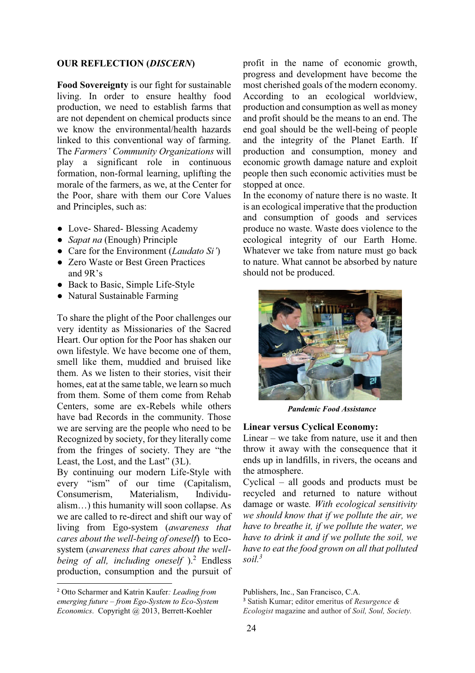# **OUR REFLECTION (***DISCERN***)**

**Food Sovereignty** is our fight for sustainable living. In order to ensure healthy food production, we need to establish farms that are not dependent on chemical products since we know the environmental/health hazards linked to this conventional way of farming. The *Farmers' Community Organizations* will play a significant role in continuous formation, non-formal learning, uplifting the morale of the farmers, as we, at the Center for the Poor, share with them our Core Values and Principles, such as:

- Love- Shared- Blessing Academy
- භ *Sapat na* (Enough) Principle
- Care for the Environment *(Laudato Si')*
- Zero Waste or Best Green Practices and  $9R's$
- Back to Basic, Simple Life-Style
- Natural Sustainable Farming

To share the plight of the Poor challenges our very identity as Missionaries of the Sacred Heart. Our option for the Poor has shaken our own lifestyle. We have become one of them, smell like them, muddied and bruised like them. As we listen to their stories, visit their homes, eat at the same table, we learn so much from them. Some of them come from Rehab Centers, some are ex-Rebels while others have bad Records in the community. Those we are serving are the people who need to be Recognized by society, for they literally come from the fringes of society. They are "the Least, the Lost, and the Last"  $(3L)$ .

By continuing our modern Life-Style with every "ism" of our time (Capitalism, Consumerism, Materialism, Individu $alism...$ ) this humanity will soon collapse. As we are called to re-direct and shift our way of living from Ego-system (*awareness that cares about the well-being of oneself*)to Ecosystem (*awareness that cares about the well*being of all, including oneself ).<sup>2</sup> Endless production, consumption and the pursuit of

profit in the name of economic growth, progress and development have become the most cherished goals of the modern economy. According to an ecological worldview, production and consumption as well as money and profit should be the means to an end. The end goal should be the well-being of people and the integrity of the Planet Earth. If production and consumption, money and economic growth damage nature and exploit people then such economic activities must be stopped at once.

In the economy of nature there is no waste. It is an ecological imperative that the production and consumption of goods and services produce no waste. Waste does violence to the ecological integrity of our Earth Home. Whatever we take from nature must go back to nature. What cannot be absorbed by nature should not be produced.



*Pandemic Food Assistance* 

#### **Linear versus Cyclical Economy:**

Linear  $-$  we take from nature, use it and then throw it away with the consequence that it ends up in landfills, in rivers, the oceans and the atmosphere.

Cyclical  $-$  all goods and products must be recycled and returned to nature without damage or waste*. With ecological sensitivity we should know that if we pollute the air, we have to breathe it, if we pollute the water, we have to drink it and if we pollute the soil, we have to eat the food grown on all that polluted soil.3*

 $\frac{1}{2}$  Otto Scharmer and Katrin Kaufer*: Leading from emerging future ± from Ego-System to Eco-System Economics*. Copyright @ 2013, Berrett-Koehler

Publishers, Inc., San Francisco, C.A.

<sup>3</sup> Satish Kumar; editor emeritus of *Resurgence & Ecologist* magazine and author of *Soil, Soul, Society.*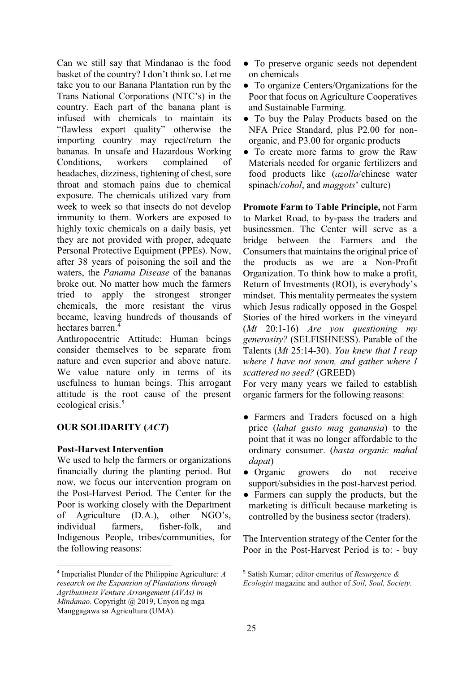Can we still say that Mindanao is the food basket of the country? I don't think so. Let me take you to our Banana Plantation run by the Trans National Corporations (NTC's) in the country. Each part of the banana plant is infused with chemicals to maintain its "flawless export quality" otherwise the importing country may reject/return the bananas. In unsafe and Hazardous Working Conditions, workers complained of headaches, dizziness, tightening of chest, sore throat and stomach pains due to chemical exposure. The chemicals utilized vary from week to week so that insects do not develop immunity to them. Workers are exposed to highly toxic chemicals on a daily basis, yet they are not provided with proper, adequate Personal Protective Equipment (PPEs). Now, after 38 years of poisoning the soil and the waters, the *Panama Disease* of the bananas broke out. No matter how much the farmers tried to apply the strongest stronger chemicals, the more resistant the virus became, leaving hundreds of thousands of hectares barren.<sup>4</sup>

Anthropocentric Attitude: Human beings consider themselves to be separate from nature and even superior and above nature. We value nature only in terms of its usefulness to human beings. This arrogant attitude is the root cause of the present ecological crisis.<sup>5</sup>

# **OUR SOLIDARITY (***ACT***)**

# **Post-Harvest Intervention**

We used to help the farmers or organizations financially during the planting period. But now, we focus our intervention program on the Post-Harvest Period. The Center for the Poor is working closely with the Department of Agriculture  $(D.A.)$ , other NGO's, individual farmers, fisher-folk, and Indigenous People, tribes/communities, for the following reasons:

- To preserve organic seeds not dependent on chemicals
- To organize Centers/Organizations for the Poor that focus on Agriculture Cooperatives and Sustainable Farming.
- භ To buy the Palay Products based on the NFA Price Standard, plus P2.00 for nonorganic, and P3.00 for organic products
- To create more farms to grow the Raw Materials needed for organic fertilizers and food products like (*azolla*/chinese water spinach/*cohol*, and *maggots*' culture)

**Promote Farm to Table Principle,** not Farm to Market Road, to by-pass the traders and businessmen. The Center will serve as a bridge between the Farmers and the Consumers that maintains the original price of the products as we are a Non-Profit Organization. To think how to make a profit, Return of Investments (ROI), is everybody's mindset. This mentality permeates the system which Jesus radically opposed in the Gospel Stories of the hired workers in the vineyard (*Mt* 20:1-16) *Are you questioning my generosity?* (SELFISHNESS). Parable of the Talents (*Mt* 25:14-30). *You knew that I reap where I have not sown, and gather where I scattered no seed?* (GREED)

For very many years we failed to establish organic farmers for the following reasons:

- භ Farmers and Traders focused on a high price (*lahat gusto mag ganansia*) to the point that it was no longer affordable to the ordinary consumer. (*basta organic mahal dapat*)
- භ Organic growers do not receive support/subsidies in the post-harvest period.
- Farmers can supply the products, but the marketing is difficult because marketing is controlled by the business sector (traders).

The Intervention strategy of the Center for the Poor in the Post-Harvest Period is to: - buy

 $\frac{1}{4}$  Imperialist Plunder of the Philippine Agriculture: *A research on the Expansion of Plantations through Agribusiness Venture Arrangement (AVAs) in Mindanao*. Copyright @ 2019, Unyon ng mga Manggagawa sa Agricultura (UMA).

<sup>5</sup> Satish Kumar; editor emeritus of *Resurgence & Ecologist* magazine and author of *Soil, Soul, Society.*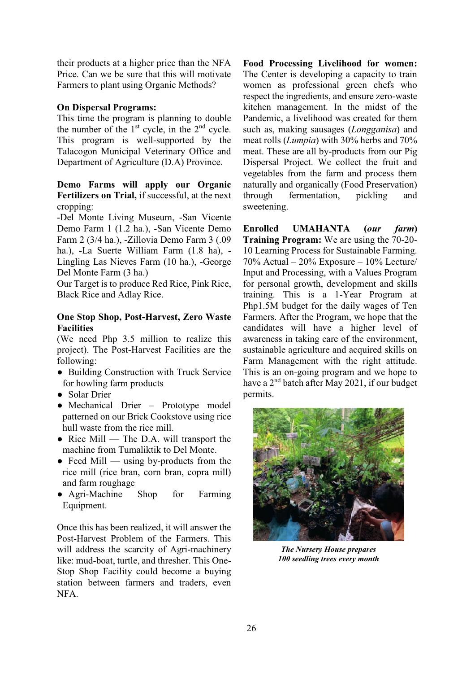their products at a higher price than the NFA Price. Can we be sure that this will motivate Farmers to plant using Organic Methods?

# **On Dispersal Programs:**

This time the program is planning to double the number of the  $1<sup>st</sup>$  cycle, in the  $2<sup>nd</sup>$  cycle. This program is well-supported by the Talacogon Municipal Veterinary Office and Department of Agriculture (D.A) Province.

# **Demo Farms will apply our Organic Fertilizers on Trial,** if successful, at the next cropping:

-Del Monte Living Museum, -San Vicente Demo Farm 1 (1.2 ha.), -San Vicente Demo Farm 2 (3/4 ha.), -Zillovia Demo Farm 3 (.09 ha.), -La Suerte William Farm (1.8 ha), - Lingling Las Nieves Farm (10 ha.), -George Del Monte Farm (3 ha.)

Our Target is to produce Red Rice, Pink Rice, Black Rice and Adlay Rice.

# **One Stop Shop, Post-Harvest, Zero Waste Facilities**

(We need Php 3.5 million to realize this project). The Post-Harvest Facilities are the following:

- Building Construction with Truck Service for howling farm products
- Solar Drier
- Mechanical Drier Prototype model patterned on our Brick Cookstove using rice hull waste from the rice mill.
- Rice Mill The D.A. will transport the machine from Tumaliktik to Del Monte.
- $\bullet$  Feed Mill using by-products from the rice mill (rice bran, corn bran, copra mill) and farm roughage
- Agri-Machine Shop for Farming Equipment.

Once this has been realized, it will answer the Post-Harvest Problem of the Farmers. This will address the scarcity of Agri-machinery like: mud-boat, turtle, and thresher. This One-Stop Shop Facility could become a buying station between farmers and traders, even NFA.

**Food Processing Livelihood for women:**  The Center is developing a capacity to train women as professional green chefs who respect the ingredients, and ensure zero-waste kitchen management. In the midst of the Pandemic, a livelihood was created for them such as, making sausages (*Longganisa*) and meat rolls (*Lumpia*) with 30% herbs and 70% meat. These are all by-products from our Pig Dispersal Project. We collect the fruit and vegetables from the farm and process them naturally and organically (Food Preservation) through fermentation, pickling and sweetening.

**Enrolled UMAHANTA (***our farm***) Training Program:** We are using the 70-20- 10 Learning Process for Sustainable Farming.  $70\%$  Actual  $-20\%$  Exposure  $-10\%$  Lecture Input and Processing, with a Values Program for personal growth, development and skills training. This is a 1-Year Program at Php1.5M budget for the daily wages of Ten Farmers. After the Program, we hope that the candidates will have a higher level of awareness in taking care of the environment, sustainable agriculture and acquired skills on Farm Management with the right attitude. This is an on-going program and we hope to have a 2nd batch after May 2021, if our budget permits.



*The Nursery House prepares 100 seedling trees every month*